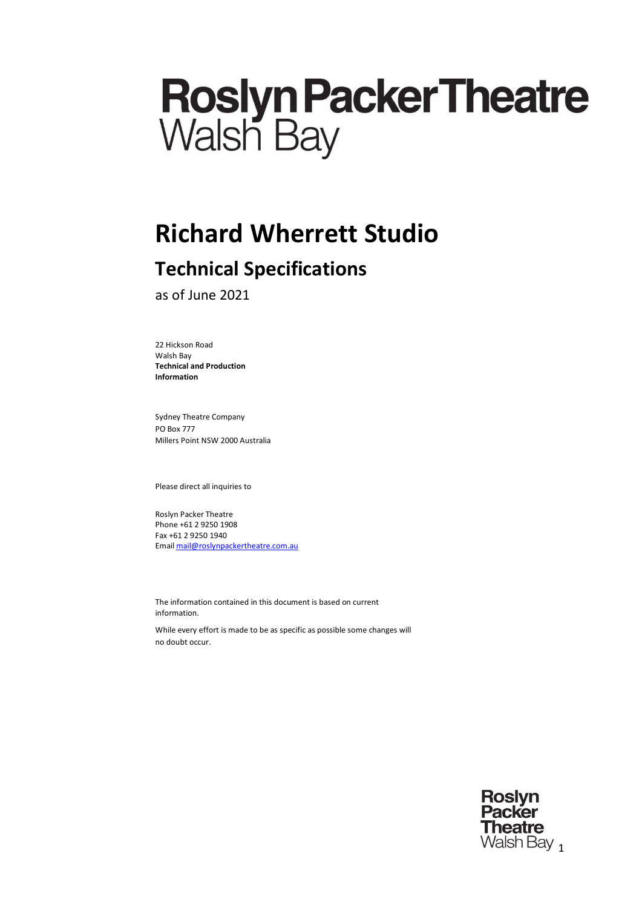# **Roslyn Packer Theatre**<br>Walsh Bay

# **Richard Wherrett Studio**

# **Technical Specifications**

as of June 2021

22 Hickson Road Walsh Bay **Technical and Production Information**

Sydney Theatre Company PO Box 777 Millers Point NSW 2000 Australia

Please direct all inquiries to

Roslyn Packer Theatre Phone +61 2 9250 1908 Fax +61 2 9250 1940 Email [mail@roslynpackertheatre.com.au](mailto:mail@roslynpackertheatre.com.au)

The information contained in this document is based on current information.

While every effort is made to be as specific as possible some changes will no doubt occur.

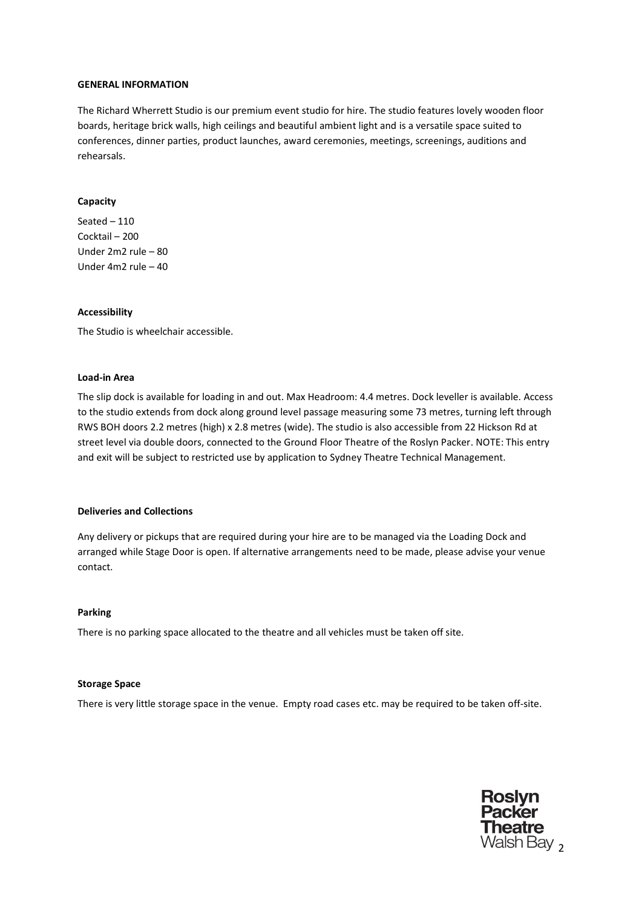### **GENERAL INFORMATION**

The Richard Wherrett Studio is our premium event studio for hire. The studio features lovely wooden floor boards, heritage brick walls, high ceilings and beautiful ambient light and is a versatile space suited to conferences, dinner parties, product launches, award ceremonies, meetings, screenings, auditions and rehearsals.

### **Capacity**

Seated – 110 Cocktail – 200 Under 2m2 rule – 80 Under 4m2 rule – 40

## **Accessibility**

The Studio is wheelchair accessible.

### **Load-in Area**

The slip dock is available for loading in and out. Max Headroom: 4.4 metres. Dock leveller is available. Access to the studio extends from dock along ground level passage measuring some 73 metres, turning left through RWS BOH doors 2.2 metres (high) x 2.8 metres (wide). The studio is also accessible from 22 Hickson Rd at street level via double doors, connected to the Ground Floor Theatre of the Roslyn Packer. NOTE: This entry and exit will be subject to restricted use by application to Sydney Theatre Technical Management.

### **Deliveries and Collections**

Any delivery or pickups that are required during your hire are to be managed via the Loading Dock and arranged while Stage Door is open. If alternative arrangements need to be made, please advise your venue contact.

### **Parking**

There is no parking space allocated to the theatre and all vehicles must be taken off site.

### **Storage Space**

There is very little storage space in the venue. Empty road cases etc. may be required to be taken off-site.

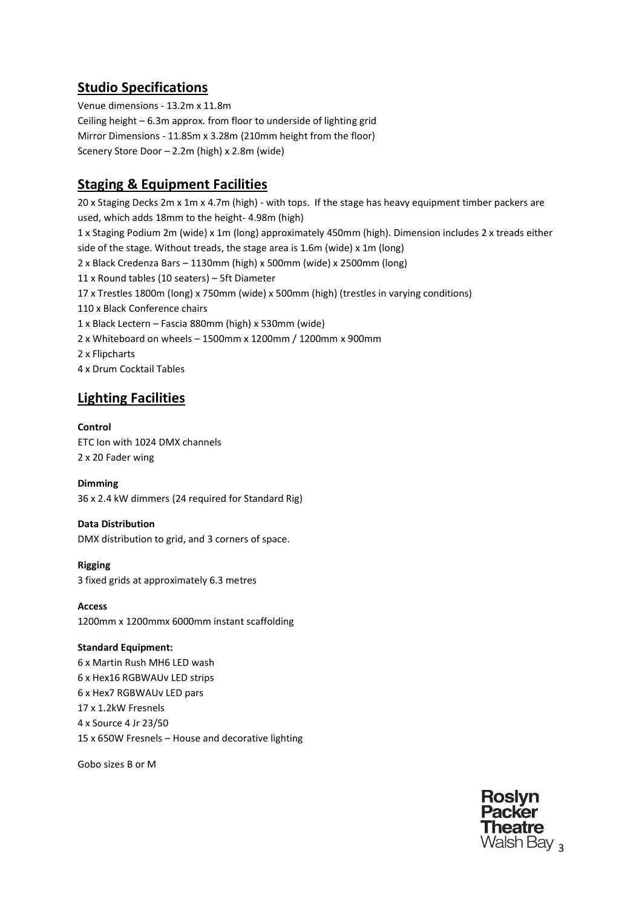# **Studio Specifications**

Venue dimensions - 13.2m x 11.8m Ceiling height – 6.3m approx. from floor to underside of lighting grid Mirror Dimensions - 11.85m x 3.28m (210mm height from the floor) Scenery Store Door – 2.2m (high) x 2.8m (wide)

# **Staging & Equipment Facilities**

20 x Staging Decks 2m x 1m x 4.7m (high) - with tops. If the stage has heavy equipment timber packers are used, which adds 18mm to the height- 4.98m (high) 1 x Staging Podium 2m (wide) x 1m (long) approximately 450mm (high). Dimension includes 2 x treads either side of the stage. Without treads, the stage area is 1.6m (wide) x 1m (long) 2 x Black Credenza Bars – 1130mm (high) x 500mm (wide) x 2500mm (long) 11 x Round tables (10 seaters) – 5ft Diameter 17 x Trestles 1800m (long) x 750mm (wide) x 500mm (high) (trestles in varying conditions) 110 x Black Conference chairs 1 x Black Lectern – Fascia 880mm (high) x 530mm (wide) 2 x Whiteboard on wheels – 1500mm x 1200mm / 1200mm x 900mm 2 x Flipcharts 4 x Drum Cocktail Tables

# **Lighting Facilities**

# **Control**

ETC Ion with 1024 DMX channels 2 x 20 Fader wing

# **Dimming**

36 x 2.4 kW dimmers (24 required for Standard Rig)

# **Data Distribution**

DMX distribution to grid, and 3 corners of space.

**Rigging** 3 fixed grids at approximately 6.3 metres

**Access** 1200mm x 1200mmx 6000mm instant scaffolding

**Standard Equipment:** 6 x Martin Rush MH6 LED wash 6 x Hex16 RGBWAUv LED strips 6 x Hex7 RGBWAUv LED pars 17 x 1.2kW Fresnels 4 x Source 4 Jr 23/50 15 x 650W Fresnels – House and decorative lighting

Gobo sizes B or M